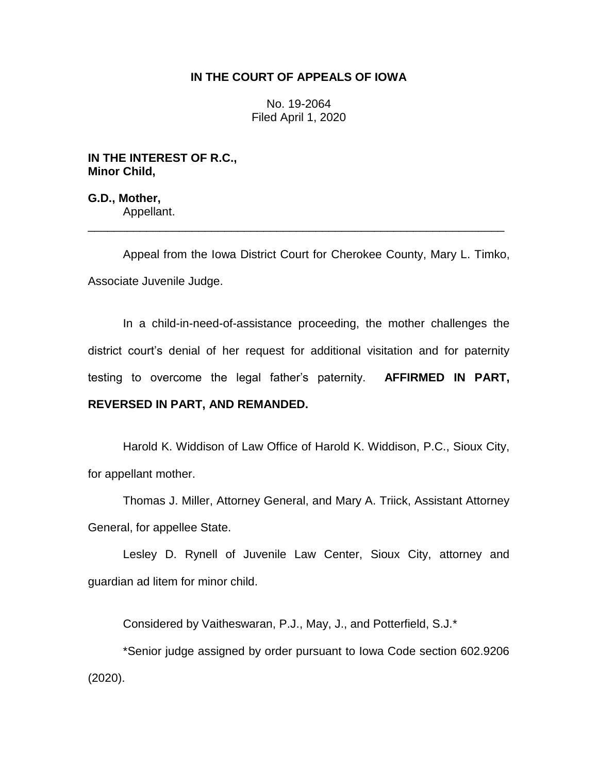## **IN THE COURT OF APPEALS OF IOWA**

No. 19-2064 Filed April 1, 2020

**IN THE INTEREST OF R.C., Minor Child,**

**G.D., Mother,** Appellant.

Appeal from the Iowa District Court for Cherokee County, Mary L. Timko, Associate Juvenile Judge.

\_\_\_\_\_\_\_\_\_\_\_\_\_\_\_\_\_\_\_\_\_\_\_\_\_\_\_\_\_\_\_\_\_\_\_\_\_\_\_\_\_\_\_\_\_\_\_\_\_\_\_\_\_\_\_\_\_\_\_\_\_\_\_\_

In a child-in-need-of-assistance proceeding, the mother challenges the district court's denial of her request for additional visitation and for paternity testing to overcome the legal father's paternity. **AFFIRMED IN PART, REVERSED IN PART, AND REMANDED.**

Harold K. Widdison of Law Office of Harold K. Widdison, P.C., Sioux City, for appellant mother.

Thomas J. Miller, Attorney General, and Mary A. Triick, Assistant Attorney General, for appellee State.

Lesley D. Rynell of Juvenile Law Center, Sioux City, attorney and guardian ad litem for minor child.

Considered by Vaitheswaran, P.J., May, J., and Potterfield, S.J.\*

\*Senior judge assigned by order pursuant to Iowa Code section 602.9206 (2020).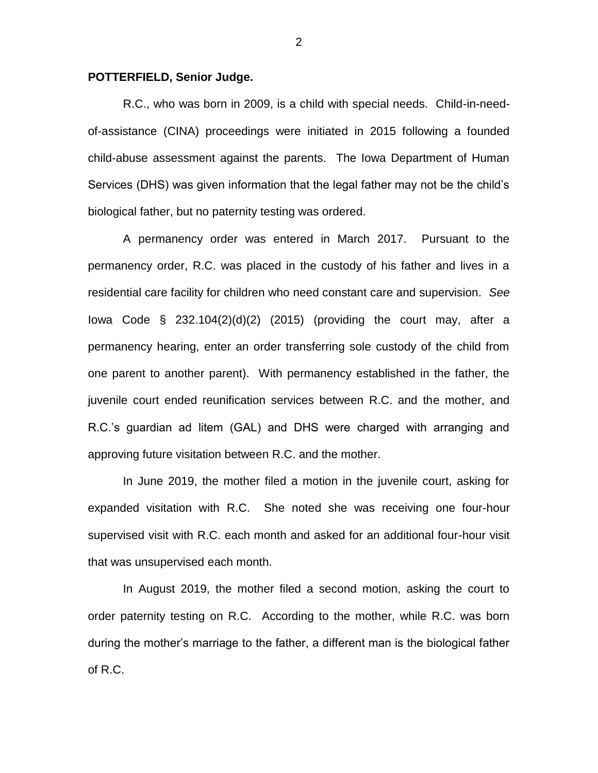## **POTTERFIELD, Senior Judge.**

R.C., who was born in 2009, is a child with special needs. Child-in-needof-assistance (CINA) proceedings were initiated in 2015 following a founded child-abuse assessment against the parents. The Iowa Department of Human Services (DHS) was given information that the legal father may not be the child's biological father, but no paternity testing was ordered.

A permanency order was entered in March 2017. Pursuant to the permanency order, R.C. was placed in the custody of his father and lives in a residential care facility for children who need constant care and supervision. *See*  Iowa Code  $\S$  232.104(2)(d)(2) (2015) (providing the court may, after a permanency hearing, enter an order transferring sole custody of the child from one parent to another parent). With permanency established in the father, the juvenile court ended reunification services between R.C. and the mother, and R.C.'s guardian ad litem (GAL) and DHS were charged with arranging and approving future visitation between R.C. and the mother.

In June 2019, the mother filed a motion in the juvenile court, asking for expanded visitation with R.C. She noted she was receiving one four-hour supervised visit with R.C. each month and asked for an additional four-hour visit that was unsupervised each month.

In August 2019, the mother filed a second motion, asking the court to order paternity testing on R.C. According to the mother, while R.C. was born during the mother's marriage to the father, a different man is the biological father of R.C.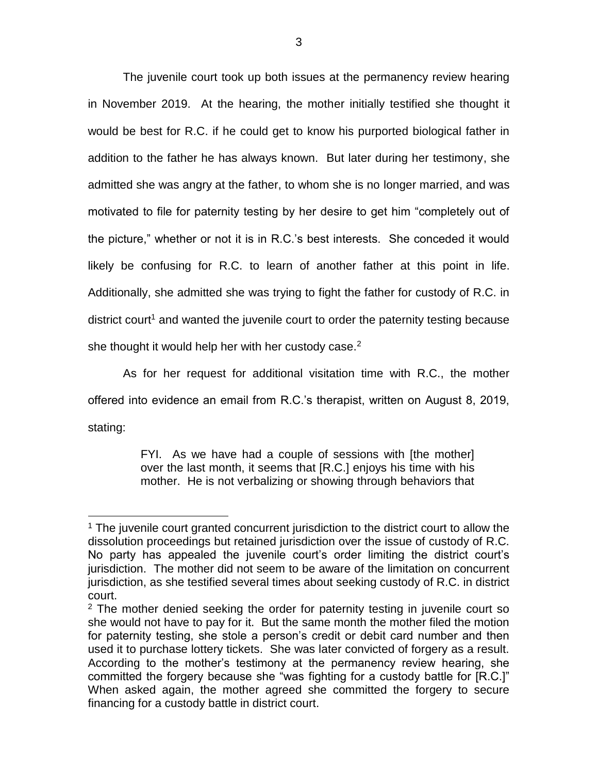The juvenile court took up both issues at the permanency review hearing in November 2019. At the hearing, the mother initially testified she thought it would be best for R.C. if he could get to know his purported biological father in addition to the father he has always known. But later during her testimony, she admitted she was angry at the father, to whom she is no longer married, and was motivated to file for paternity testing by her desire to get him "completely out of the picture," whether or not it is in R.C.'s best interests. She conceded it would likely be confusing for R.C. to learn of another father at this point in life. Additionally, she admitted she was trying to fight the father for custody of R.C. in district court<sup>1</sup> and wanted the juvenile court to order the paternity testing because she thought it would help her with her custody case. $2$ 

As for her request for additional visitation time with R.C., the mother offered into evidence an email from R.C.'s therapist, written on August 8, 2019, stating:

> FYI. As we have had a couple of sessions with [the mother] over the last month, it seems that [R.C.] enjoys his time with his mother. He is not verbalizing or showing through behaviors that

 $\overline{a}$ 

<sup>&</sup>lt;sup>1</sup> The juvenile court granted concurrent jurisdiction to the district court to allow the dissolution proceedings but retained jurisdiction over the issue of custody of R.C. No party has appealed the juvenile court's order limiting the district court's jurisdiction. The mother did not seem to be aware of the limitation on concurrent jurisdiction, as she testified several times about seeking custody of R.C. in district court.

 $2$  The mother denied seeking the order for paternity testing in juvenile court so she would not have to pay for it. But the same month the mother filed the motion for paternity testing, she stole a person's credit or debit card number and then used it to purchase lottery tickets. She was later convicted of forgery as a result. According to the mother's testimony at the permanency review hearing, she committed the forgery because she "was fighting for a custody battle for [R.C.]" When asked again, the mother agreed she committed the forgery to secure financing for a custody battle in district court.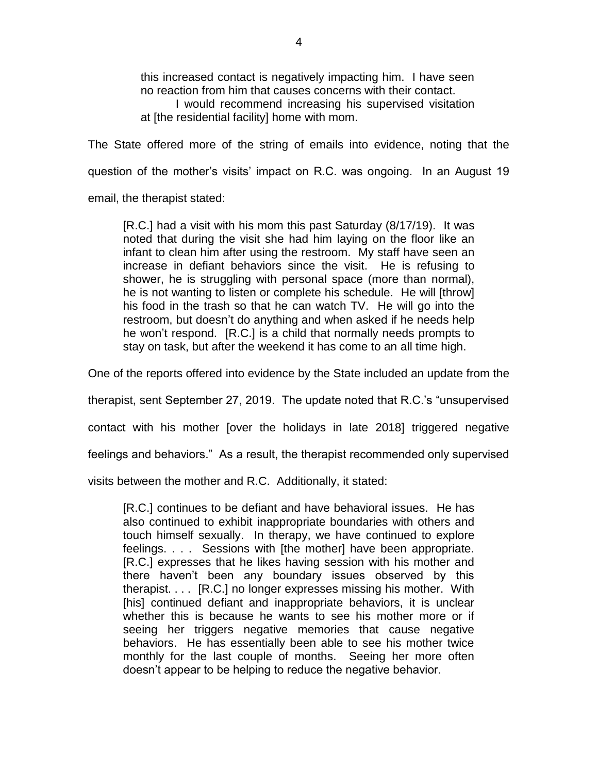this increased contact is negatively impacting him. I have seen no reaction from him that causes concerns with their contact. I would recommend increasing his supervised visitation at [the residential facility] home with mom.

The State offered more of the string of emails into evidence, noting that the question of the mother's visits' impact on R.C. was ongoing. In an August 19

email, the therapist stated:

[R.C.] had a visit with his mom this past Saturday (8/17/19). It was noted that during the visit she had him laying on the floor like an infant to clean him after using the restroom. My staff have seen an increase in defiant behaviors since the visit. He is refusing to shower, he is struggling with personal space (more than normal), he is not wanting to listen or complete his schedule. He will [throw] his food in the trash so that he can watch TV. He will go into the restroom, but doesn't do anything and when asked if he needs help he won't respond. [R.C.] is a child that normally needs prompts to stay on task, but after the weekend it has come to an all time high.

One of the reports offered into evidence by the State included an update from the

therapist, sent September 27, 2019. The update noted that R.C.'s "unsupervised

contact with his mother [over the holidays in late 2018] triggered negative

feelings and behaviors." As a result, the therapist recommended only supervised

visits between the mother and R.C. Additionally, it stated:

[R.C.] continues to be defiant and have behavioral issues. He has also continued to exhibit inappropriate boundaries with others and touch himself sexually. In therapy, we have continued to explore feelings. . . . Sessions with [the mother] have been appropriate. [R.C.] expresses that he likes having session with his mother and there haven't been any boundary issues observed by this therapist. . . . [R.C.] no longer expresses missing his mother. With [his] continued defiant and inappropriate behaviors, it is unclear whether this is because he wants to see his mother more or if seeing her triggers negative memories that cause negative behaviors. He has essentially been able to see his mother twice monthly for the last couple of months. Seeing her more often doesn't appear to be helping to reduce the negative behavior.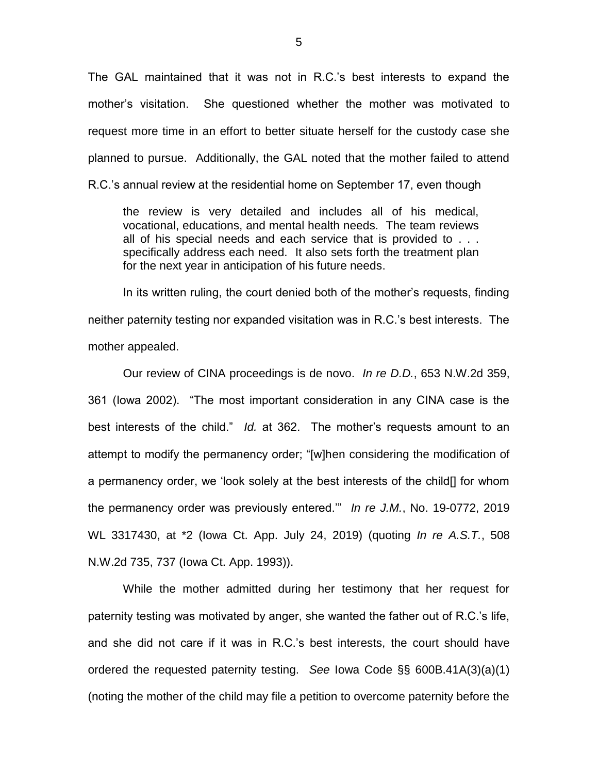The GAL maintained that it was not in R.C.'s best interests to expand the mother's visitation. She questioned whether the mother was motivated to request more time in an effort to better situate herself for the custody case she planned to pursue. Additionally, the GAL noted that the mother failed to attend R.C.'s annual review at the residential home on September 17, even though

the review is very detailed and includes all of his medical, vocational, educations, and mental health needs. The team reviews all of his special needs and each service that is provided to . . . specifically address each need. It also sets forth the treatment plan for the next year in anticipation of his future needs.

In its written ruling, the court denied both of the mother's requests, finding neither paternity testing nor expanded visitation was in R.C.'s best interests. The mother appealed.

Our review of CINA proceedings is de novo. *In re D.D.*, 653 N.W.2d 359, 361 (Iowa 2002). "The most important consideration in any CINA case is the best interests of the child." *Id.* at 362. The mother's requests amount to an attempt to modify the permanency order; "[w]hen considering the modification of a permanency order, we 'look solely at the best interests of the child[] for whom the permanency order was previously entered.'" *In re J.M.*, No. 19-0772, 2019 WL 3317430, at \*2 (Iowa Ct. App. July 24, 2019) (quoting *In re A.S.T.*, 508 N.W.2d 735, 737 (Iowa Ct. App. 1993)).

While the mother admitted during her testimony that her request for paternity testing was motivated by anger, she wanted the father out of R.C.'s life, and she did not care if it was in R.C.'s best interests, the court should have ordered the requested paternity testing. *See* Iowa Code §§ 600B.41A(3)(a)(1) (noting the mother of the child may file a petition to overcome paternity before the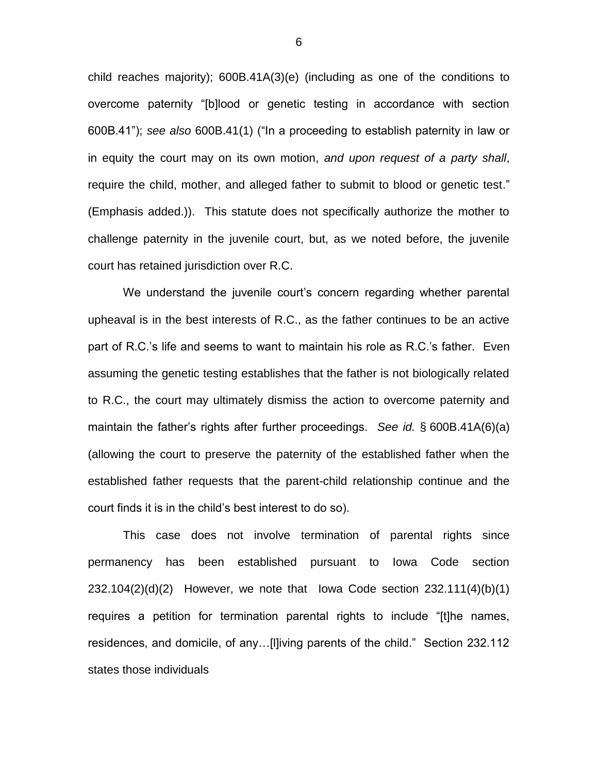child reaches majority); 600B.41A(3)(e) (including as one of the conditions to overcome paternity "[b]lood or genetic testing in accordance with section 600B.41"); *see also* 600B.41(1) ("In a proceeding to establish paternity in law or in equity the court may on its own motion, *and upon request of a party shall*, require the child, mother, and alleged father to submit to blood or genetic test." (Emphasis added.)). This statute does not specifically authorize the mother to challenge paternity in the juvenile court, but, as we noted before, the juvenile court has retained jurisdiction over R.C.

We understand the juvenile court's concern regarding whether parental upheaval is in the best interests of R.C., as the father continues to be an active part of R.C.'s life and seems to want to maintain his role as R.C.'s father. Even assuming the genetic testing establishes that the father is not biologically related to R.C., the court may ultimately dismiss the action to overcome paternity and maintain the father's rights after further proceedings. *See id.* § 600B.41A(6)(a) (allowing the court to preserve the paternity of the established father when the established father requests that the parent-child relationship continue and the court finds it is in the child's best interest to do so).

This case does not involve termination of parental rights since permanency has been established pursuant to Iowa Code section 232.104(2)(d)(2) However, we note that Iowa Code section 232.111(4)(b)(1) requires a petition for termination parental rights to include "[t]he names, residences, and domicile, of any…[l]iving parents of the child." Section 232.112 states those individuals

6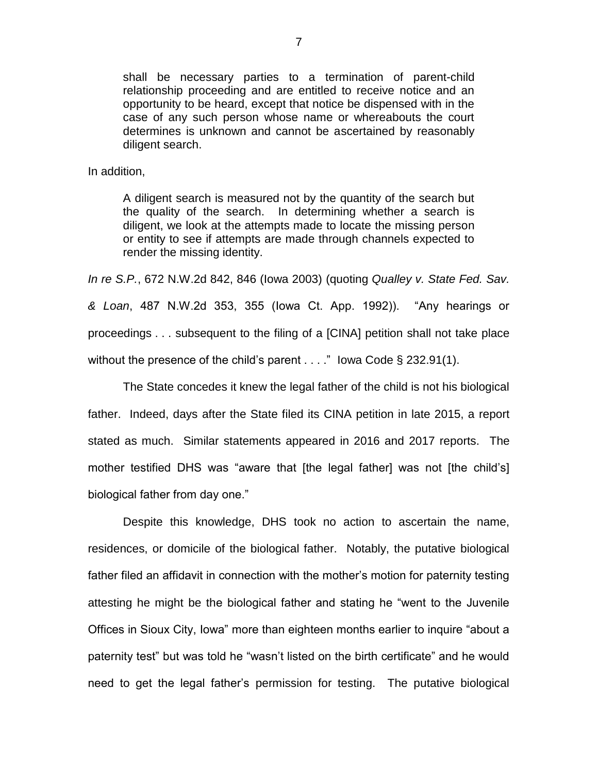shall be necessary parties to a termination of parent-child relationship proceeding and are entitled to receive notice and an opportunity to be heard, except that notice be dispensed with in the case of any such person whose name or whereabouts the court determines is unknown and cannot be ascertained by reasonably diligent search.

In addition,

A diligent search is measured not by the quantity of the search but the quality of the search. In determining whether a search is diligent, we look at the attempts made to locate the missing person or entity to see if attempts are made through channels expected to render the missing identity.

*In re S.P.*, 672 N.W.2d 842, 846 (Iowa 2003) (quoting *Qualley v. State Fed. Sav. & Loan*, 487 N.W.2d 353, 355 (Iowa Ct. App. 1992)). "Any hearings or proceedings . . . subsequent to the filing of a [CINA] petition shall not take place without the presence of the child's parent  $\dots$  " lowa Code § 232.91(1).

The State concedes it knew the legal father of the child is not his biological father. Indeed, days after the State filed its CINA petition in late 2015, a report stated as much. Similar statements appeared in 2016 and 2017 reports. The mother testified DHS was "aware that [the legal father] was not [the child's] biological father from day one."

Despite this knowledge, DHS took no action to ascertain the name, residences, or domicile of the biological father. Notably, the putative biological father filed an affidavit in connection with the mother's motion for paternity testing attesting he might be the biological father and stating he "went to the Juvenile Offices in Sioux City, Iowa" more than eighteen months earlier to inquire "about a paternity test" but was told he "wasn't listed on the birth certificate" and he would need to get the legal father's permission for testing. The putative biological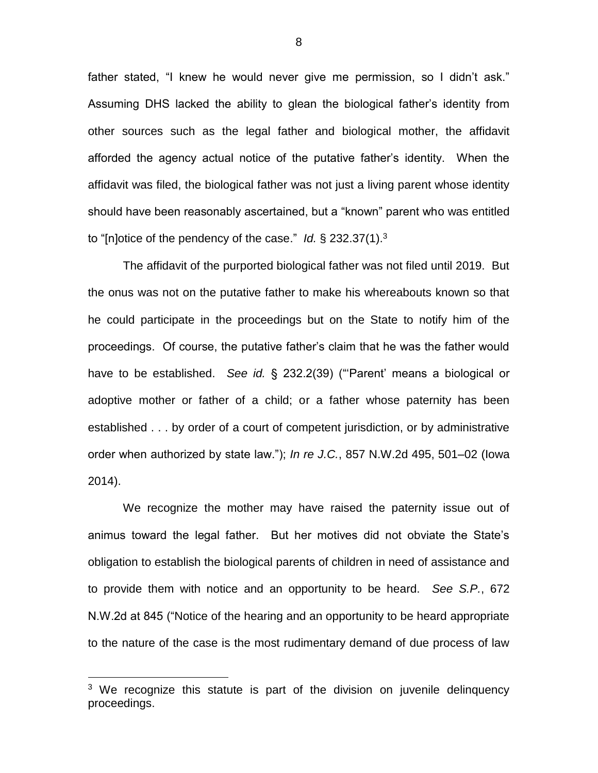father stated, "I knew he would never give me permission, so I didn't ask." Assuming DHS lacked the ability to glean the biological father's identity from other sources such as the legal father and biological mother, the affidavit afforded the agency actual notice of the putative father's identity. When the affidavit was filed, the biological father was not just a living parent whose identity should have been reasonably ascertained, but a "known" parent who was entitled to "[n]otice of the pendency of the case." *Id.* § 232.37(1).<sup>3</sup>

The affidavit of the purported biological father was not filed until 2019. But the onus was not on the putative father to make his whereabouts known so that he could participate in the proceedings but on the State to notify him of the proceedings. Of course, the putative father's claim that he was the father would have to be established. *See id.* § 232.2(39) ("'Parent' means a biological or adoptive mother or father of a child; or a father whose paternity has been established . . . by order of a court of competent jurisdiction, or by administrative order when authorized by state law."); *In re J.C.*, 857 N.W.2d 495, 501–02 (Iowa 2014).

We recognize the mother may have raised the paternity issue out of animus toward the legal father. But her motives did not obviate the State's obligation to establish the biological parents of children in need of assistance and to provide them with notice and an opportunity to be heard. *See S.P.*, 672 N.W.2d at 845 ("Notice of the hearing and an opportunity to be heard appropriate to the nature of the case is the most rudimentary demand of due process of law

 $\overline{a}$ 

 $3$  We recognize this statute is part of the division on juvenile delinquency proceedings.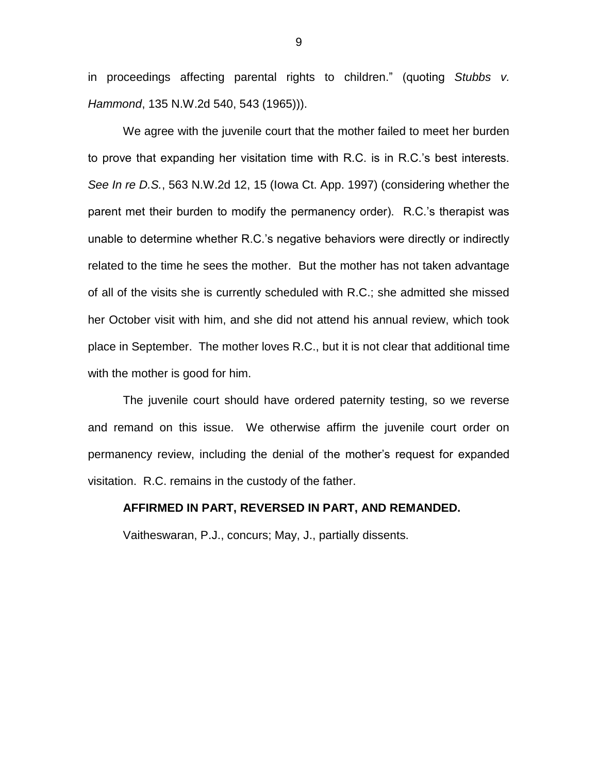in proceedings affecting parental rights to children." (quoting *Stubbs v. Hammond*, 135 N.W.2d 540, 543 (1965))).

We agree with the juvenile court that the mother failed to meet her burden to prove that expanding her visitation time with R.C. is in R.C.'s best interests. *See In re D.S.*, 563 N.W.2d 12, 15 (Iowa Ct. App. 1997) (considering whether the parent met their burden to modify the permanency order). R.C.'s therapist was unable to determine whether R.C.'s negative behaviors were directly or indirectly related to the time he sees the mother. But the mother has not taken advantage of all of the visits she is currently scheduled with R.C.; she admitted she missed her October visit with him, and she did not attend his annual review, which took place in September. The mother loves R.C., but it is not clear that additional time with the mother is good for him.

The juvenile court should have ordered paternity testing, so we reverse and remand on this issue. We otherwise affirm the juvenile court order on permanency review, including the denial of the mother's request for expanded visitation. R.C. remains in the custody of the father.

## **AFFIRMED IN PART, REVERSED IN PART, AND REMANDED.**

Vaitheswaran, P.J., concurs; May, J., partially dissents.